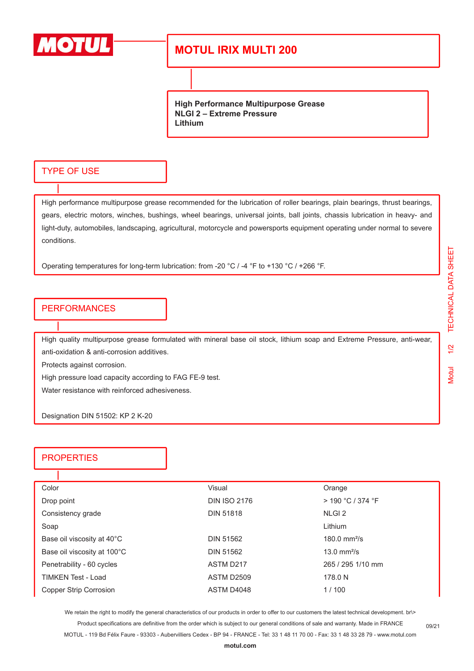

## **MOTUL IRIX MULTI 200**

**High Performance Multipurpose Grease NLGI 2 – Extreme Pressure Lithium**

## TYPE OF USE

High performance multipurpose grease recommended for the lubrication of roller bearings, plain bearings, thrust bearings, gears, electric motors, winches, bushings, wheel bearings, universal joints, ball joints, chassis lubrication in heavy- and light-duty, automobiles, landscaping, agricultural, motorcycle and powersports equipment operating under normal to severe conditions.

Operating temperatures for long-term lubrication: from -20 °C / -4 °F to +130 °C / +266 °F.

#### PERFORMANCES

High quality multipurpose grease formulated with mineral base oil stock, lithium soap and Extreme Pressure, anti-wear, anti-oxidation & anti-corrosion additives.

Protects against corrosion.

High pressure load capacity according to FAG FE-9 test.

Water resistance with reinforced adhesiveness.

Designation DIN 51502: KP 2 K-20

## **PROPERTIES**

| Color                       | Visual              | Orange              |  |
|-----------------------------|---------------------|---------------------|--|
| Drop point                  | <b>DIN ISO 2176</b> | $>$ 190 °C / 374 °F |  |
| Consistency grade           | <b>DIN 51818</b>    | NLGI <sub>2</sub>   |  |
| Soap                        |                     | Lithium             |  |
| Base oil viscosity at 40°C  | <b>DIN 51562</b>    | 180.0 $mm^2/s$      |  |
| Base oil viscosity at 100°C | DIN 51562           | 13.0 $mm^2/s$       |  |
| Penetrability - 60 cycles   | ASTM D217           | 265 / 295 1/10 mm   |  |
| <b>TIMKEN Test - Load</b>   | ASTM D2509          | 178.0 N             |  |
| Copper Strip Corrosion      | ASTM D4048          | 1/100               |  |

We retain the right to modify the general characteristics of our products in order to offer to our customers the latest technical development. br\> Product specifications are definitive from the order which is subject to our general conditions of sale and warranty. Made in FRANCE

MOTUL - 119 Bd Félix Faure - 93303 - Aubervilliers Cedex - BP 94 - FRANCE - Tel: 33 1 48 11 70 00 - Fax: 33 1 48 33 28 79 - www.motul.com **[motul.com](http://www.motul.com)**

09/21